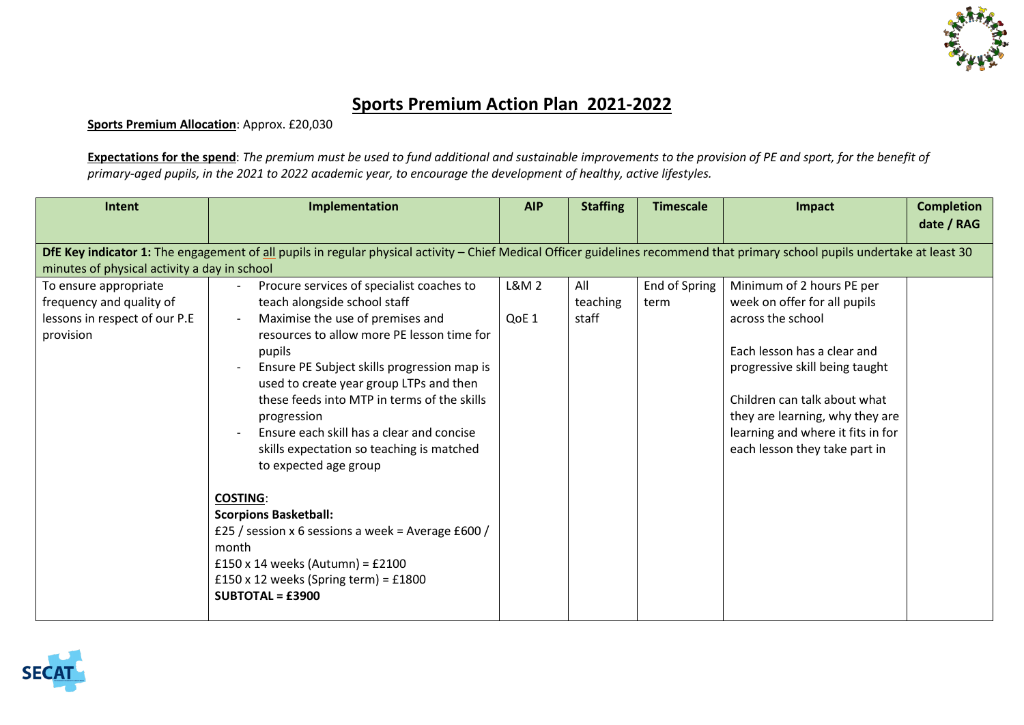

## **Sports Premium Action Plan 2021-2022**

**Sports Premium Allocation**: Approx. £20,030

**Expectations for the spend**: *The premium must be used to fund additional and sustainable improvements to the provision of PE and sport, for the benefit of primary-aged pupils, in the 2021 to 2022 academic year, to encourage the development of healthy, active lifestyles.*

| Intent                                       | Implementation                                                                                                                                                               | <b>AIP</b> | <b>Staffing</b> | <b>Timescale</b> | Impact                            | <b>Completion</b> |  |  |
|----------------------------------------------|------------------------------------------------------------------------------------------------------------------------------------------------------------------------------|------------|-----------------|------------------|-----------------------------------|-------------------|--|--|
|                                              |                                                                                                                                                                              |            |                 |                  |                                   | date / RAG        |  |  |
|                                              | DfE Key indicator 1: The engagement of all pupils in regular physical activity - Chief Medical Officer guidelines recommend that primary school pupils undertake at least 30 |            |                 |                  |                                   |                   |  |  |
| minutes of physical activity a day in school |                                                                                                                                                                              |            |                 |                  |                                   |                   |  |  |
| To ensure appropriate                        | Procure services of specialist coaches to                                                                                                                                    | L&M 2      | All             | End of Spring    | Minimum of 2 hours PE per         |                   |  |  |
| frequency and quality of                     | teach alongside school staff                                                                                                                                                 |            | teaching        | term             | week on offer for all pupils      |                   |  |  |
| lessons in respect of our P.E                | Maximise the use of premises and                                                                                                                                             | QoE 1      | staff           |                  | across the school                 |                   |  |  |
| provision                                    | resources to allow more PE lesson time for                                                                                                                                   |            |                 |                  |                                   |                   |  |  |
|                                              | pupils                                                                                                                                                                       |            |                 |                  | Each lesson has a clear and       |                   |  |  |
|                                              | Ensure PE Subject skills progression map is                                                                                                                                  |            |                 |                  | progressive skill being taught    |                   |  |  |
|                                              | used to create year group LTPs and then                                                                                                                                      |            |                 |                  |                                   |                   |  |  |
|                                              | these feeds into MTP in terms of the skills                                                                                                                                  |            |                 |                  | Children can talk about what      |                   |  |  |
|                                              | progression                                                                                                                                                                  |            |                 |                  | they are learning, why they are   |                   |  |  |
|                                              | Ensure each skill has a clear and concise                                                                                                                                    |            |                 |                  | learning and where it fits in for |                   |  |  |
|                                              | skills expectation so teaching is matched                                                                                                                                    |            |                 |                  | each lesson they take part in     |                   |  |  |
|                                              | to expected age group                                                                                                                                                        |            |                 |                  |                                   |                   |  |  |
|                                              |                                                                                                                                                                              |            |                 |                  |                                   |                   |  |  |
|                                              | <b>COSTING:</b>                                                                                                                                                              |            |                 |                  |                                   |                   |  |  |
|                                              | <b>Scorpions Basketball:</b>                                                                                                                                                 |            |                 |                  |                                   |                   |  |  |
|                                              | £25 / session x 6 sessions a week = Average £600 /                                                                                                                           |            |                 |                  |                                   |                   |  |  |
|                                              | month                                                                                                                                                                        |            |                 |                  |                                   |                   |  |  |
|                                              | $£150 \times 14$ weeks (Autumn) = £2100                                                                                                                                      |            |                 |                  |                                   |                   |  |  |
|                                              | £150 x 12 weeks (Spring term) = £1800                                                                                                                                        |            |                 |                  |                                   |                   |  |  |
|                                              | $SUBTOTAL = £3900$                                                                                                                                                           |            |                 |                  |                                   |                   |  |  |
|                                              |                                                                                                                                                                              |            |                 |                  |                                   |                   |  |  |

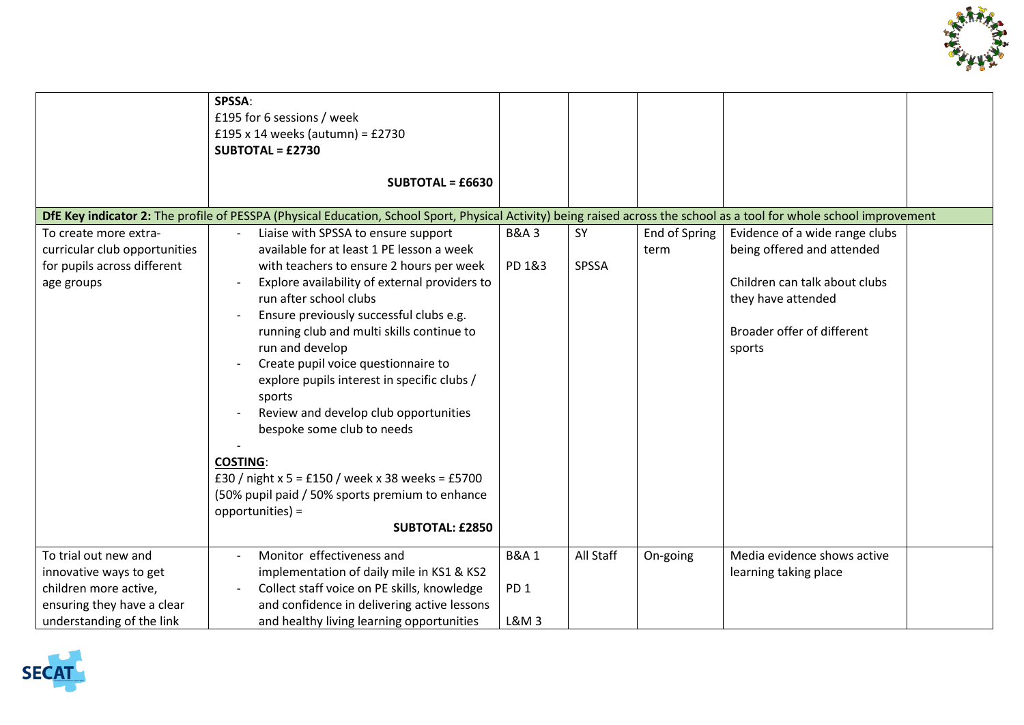

|                                                                                                                                    | SPSSA:<br>£195 for 6 sessions / week<br>£195 x 14 weeks (autumn) = $£2730$<br>$SUBTOTAL = £2730$<br><b>SUBTOTAL = £6630</b>                                                                                                                                                                                                                                                                                                                                                                                                                                                                                                                                       |                                             |             |                       |                                                                                                                                                             |
|------------------------------------------------------------------------------------------------------------------------------------|-------------------------------------------------------------------------------------------------------------------------------------------------------------------------------------------------------------------------------------------------------------------------------------------------------------------------------------------------------------------------------------------------------------------------------------------------------------------------------------------------------------------------------------------------------------------------------------------------------------------------------------------------------------------|---------------------------------------------|-------------|-----------------------|-------------------------------------------------------------------------------------------------------------------------------------------------------------|
|                                                                                                                                    | DfE Key indicator 2: The profile of PESSPA (Physical Education, School Sport, Physical Activity) being raised across the school as a tool for whole school improvement                                                                                                                                                                                                                                                                                                                                                                                                                                                                                            |                                             |             |                       |                                                                                                                                                             |
| To create more extra-<br>curricular club opportunities<br>for pupils across different<br>age groups                                | Liaise with SPSSA to ensure support<br>available for at least 1 PE lesson a week<br>with teachers to ensure 2 hours per week<br>Explore availability of external providers to<br>run after school clubs<br>Ensure previously successful clubs e.g.<br>running club and multi skills continue to<br>run and develop<br>Create pupil voice questionnaire to<br>explore pupils interest in specific clubs /<br>sports<br>Review and develop club opportunities<br>bespoke some club to needs<br><b>COSTING:</b><br>£30 / night x 5 = £150 / week x 38 weeks = £5700<br>(50% pupil paid / 50% sports premium to enhance<br>opportunities) =<br><b>SUBTOTAL: £2850</b> | <b>B&amp;A3</b><br>PD 1&3                   | SY<br>SPSSA | End of Spring<br>term | Evidence of a wide range clubs<br>being offered and attended<br>Children can talk about clubs<br>they have attended<br>Broader offer of different<br>sports |
|                                                                                                                                    |                                                                                                                                                                                                                                                                                                                                                                                                                                                                                                                                                                                                                                                                   |                                             |             |                       |                                                                                                                                                             |
| To trial out new and<br>innovative ways to get<br>children more active,<br>ensuring they have a clear<br>understanding of the link | Monitor effectiveness and<br>implementation of daily mile in KS1 & KS2<br>Collect staff voice on PE skills, knowledge<br>and confidence in delivering active lessons<br>and healthy living learning opportunities                                                                                                                                                                                                                                                                                                                                                                                                                                                 | <b>B&amp;A1</b><br>PD <sub>1</sub><br>L&M 3 | All Staff   | On-going              | Media evidence shows active<br>learning taking place                                                                                                        |

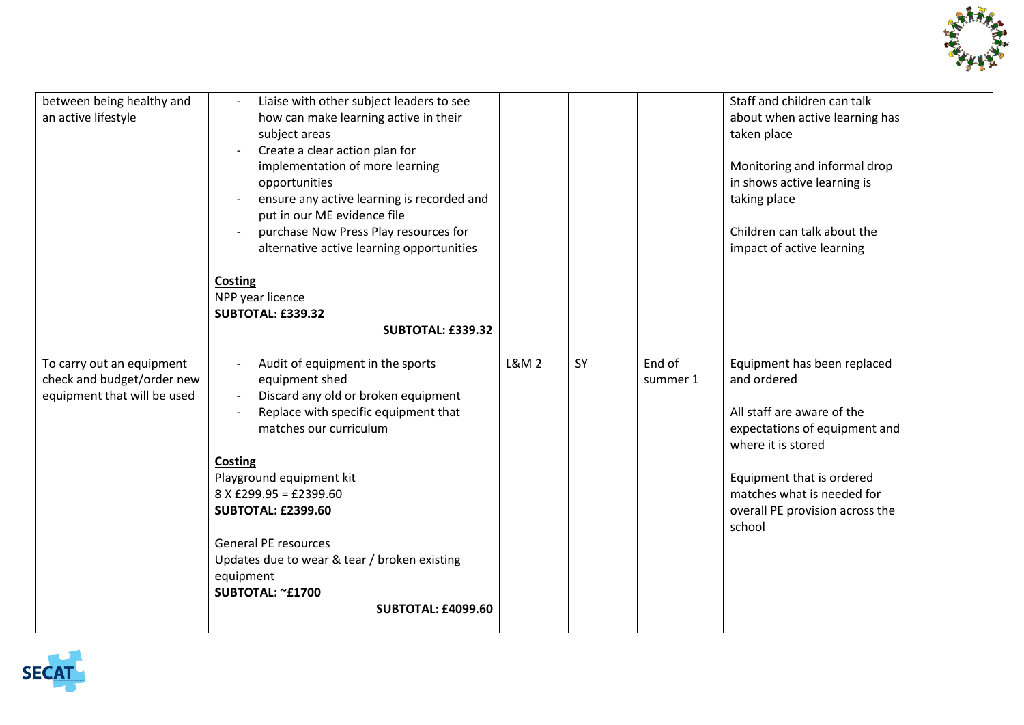

| between being healthy and<br>an active lifestyle                                       | Liaise with other subject leaders to see<br>how can make learning active in their<br>subject areas<br>Create a clear action plan for<br>implementation of more learning<br>opportunities<br>ensure any active learning is recorded and<br>put in our ME evidence file<br>purchase Now Press Play resources for<br>alternative active learning opportunities                                              |                 |    |                    | Staff and children can talk<br>about when active learning has<br>taken place<br>Monitoring and informal drop<br>in shows active learning is<br>taking place<br>Children can talk about the<br>impact of active learning                 |
|----------------------------------------------------------------------------------------|----------------------------------------------------------------------------------------------------------------------------------------------------------------------------------------------------------------------------------------------------------------------------------------------------------------------------------------------------------------------------------------------------------|-----------------|----|--------------------|-----------------------------------------------------------------------------------------------------------------------------------------------------------------------------------------------------------------------------------------|
|                                                                                        | <b>Costing</b><br>NPP year licence<br><b>SUBTOTAL: £339.32</b><br><b>SUBTOTAL: £339.32</b>                                                                                                                                                                                                                                                                                                               |                 |    |                    |                                                                                                                                                                                                                                         |
| To carry out an equipment<br>check and budget/order new<br>equipment that will be used | Audit of equipment in the sports<br>equipment shed<br>Discard any old or broken equipment<br>Replace with specific equipment that<br>matches our curriculum<br>Costing<br>Playground equipment kit<br>$8$ X £299.95 = £2399.60<br><b>SUBTOTAL: £2399.60</b><br><b>General PE resources</b><br>Updates due to wear & tear / broken existing<br>equipment<br>SUBTOTAL: ~£1700<br><b>SUBTOTAL: £4099.60</b> | <b>L&amp;M2</b> | SY | End of<br>summer 1 | Equipment has been replaced<br>and ordered<br>All staff are aware of the<br>expectations of equipment and<br>where it is stored<br>Equipment that is ordered<br>matches what is needed for<br>overall PE provision across the<br>school |

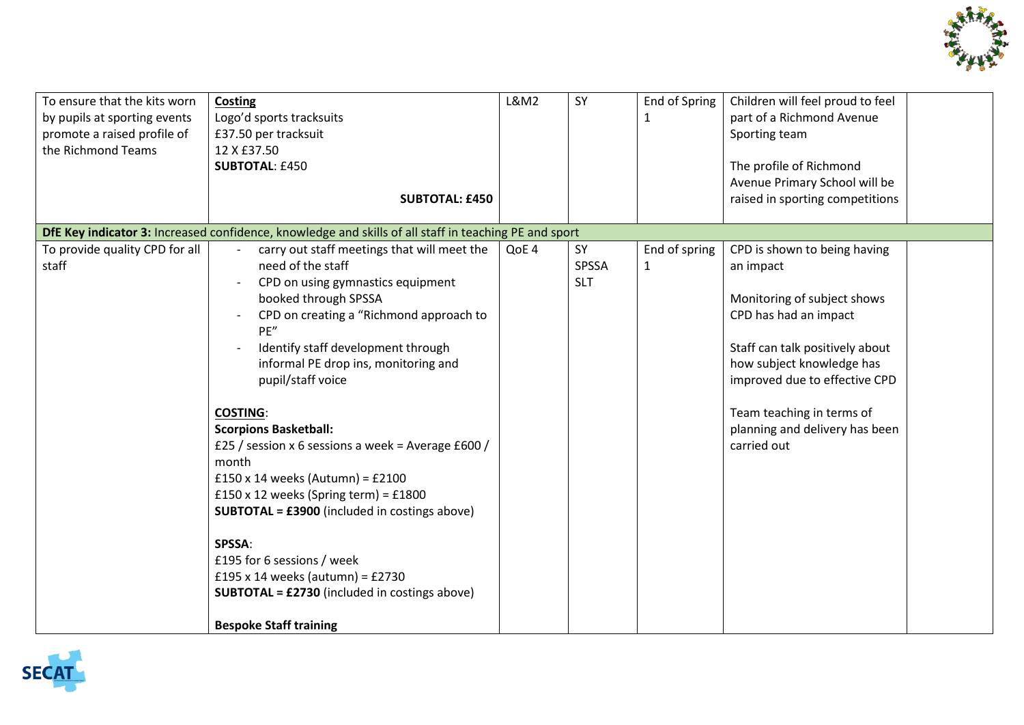

| raised in sporting competitions<br><b>SUBTOTAL: £450</b><br>DfE Key indicator 3: Increased confidence, knowledge and skills of all staff in teaching PE and sport<br>To provide quality CPD for all<br>carry out staff meetings that will meet the<br>CPD is shown to being having<br>QoE 4<br>SY<br>End of spring<br>need of the staff<br>staff<br>SPSSA<br>$\mathbf{1}$<br>an impact<br>CPD on using gymnastics equipment<br><b>SLT</b><br>booked through SPSSA<br>Monitoring of subject shows<br>CPD on creating a "Richmond approach to<br>CPD has had an impact<br>PE"<br>Identify staff development through<br>Staff can talk positively about<br>how subject knowledge has<br>informal PE drop ins, monitoring and<br>pupil/staff voice<br>improved due to effective CPD<br>Team teaching in terms of<br><b>COSTING:</b><br>planning and delivery has been<br><b>Scorpions Basketball:</b><br>£25 / session x 6 sessions a week = Average £600 /<br>carried out<br>month<br>£150 x 14 weeks (Autumn) = £2100<br>£150 x 12 weeks (Spring term) = £1800<br><b>SUBTOTAL = £3900</b> (included in costings above)<br>SPSSA:<br>£195 for 6 sessions / week<br>£195 x 14 weeks (autumn) = £2730<br><b>SUBTOTAL = £2730</b> (included in costings above) | To ensure that the kits worn<br>by pupils at sporting events<br>promote a raised profile of<br>the Richmond Teams | Costing<br>Logo'd sports tracksuits<br>£37.50 per tracksuit<br>12 X £37.50<br><b>SUBTOTAL: £450</b> | <b>L&amp;M2</b> | SY | End of Spring<br>1 | Children will feel proud to feel<br>part of a Richmond Avenue<br>Sporting team<br>The profile of Richmond<br>Avenue Primary School will be |
|----------------------------------------------------------------------------------------------------------------------------------------------------------------------------------------------------------------------------------------------------------------------------------------------------------------------------------------------------------------------------------------------------------------------------------------------------------------------------------------------------------------------------------------------------------------------------------------------------------------------------------------------------------------------------------------------------------------------------------------------------------------------------------------------------------------------------------------------------------------------------------------------------------------------------------------------------------------------------------------------------------------------------------------------------------------------------------------------------------------------------------------------------------------------------------------------------------------------------------------------------------|-------------------------------------------------------------------------------------------------------------------|-----------------------------------------------------------------------------------------------------|-----------------|----|--------------------|--------------------------------------------------------------------------------------------------------------------------------------------|
|                                                                                                                                                                                                                                                                                                                                                                                                                                                                                                                                                                                                                                                                                                                                                                                                                                                                                                                                                                                                                                                                                                                                                                                                                                                          |                                                                                                                   |                                                                                                     |                 |    |                    |                                                                                                                                            |
|                                                                                                                                                                                                                                                                                                                                                                                                                                                                                                                                                                                                                                                                                                                                                                                                                                                                                                                                                                                                                                                                                                                                                                                                                                                          |                                                                                                                   |                                                                                                     |                 |    |                    |                                                                                                                                            |
|                                                                                                                                                                                                                                                                                                                                                                                                                                                                                                                                                                                                                                                                                                                                                                                                                                                                                                                                                                                                                                                                                                                                                                                                                                                          |                                                                                                                   |                                                                                                     |                 |    |                    |                                                                                                                                            |
|                                                                                                                                                                                                                                                                                                                                                                                                                                                                                                                                                                                                                                                                                                                                                                                                                                                                                                                                                                                                                                                                                                                                                                                                                                                          |                                                                                                                   |                                                                                                     |                 |    |                    |                                                                                                                                            |
|                                                                                                                                                                                                                                                                                                                                                                                                                                                                                                                                                                                                                                                                                                                                                                                                                                                                                                                                                                                                                                                                                                                                                                                                                                                          |                                                                                                                   |                                                                                                     |                 |    |                    |                                                                                                                                            |
|                                                                                                                                                                                                                                                                                                                                                                                                                                                                                                                                                                                                                                                                                                                                                                                                                                                                                                                                                                                                                                                                                                                                                                                                                                                          |                                                                                                                   |                                                                                                     |                 |    |                    |                                                                                                                                            |
|                                                                                                                                                                                                                                                                                                                                                                                                                                                                                                                                                                                                                                                                                                                                                                                                                                                                                                                                                                                                                                                                                                                                                                                                                                                          |                                                                                                                   |                                                                                                     |                 |    |                    |                                                                                                                                            |
|                                                                                                                                                                                                                                                                                                                                                                                                                                                                                                                                                                                                                                                                                                                                                                                                                                                                                                                                                                                                                                                                                                                                                                                                                                                          |                                                                                                                   |                                                                                                     |                 |    |                    |                                                                                                                                            |
|                                                                                                                                                                                                                                                                                                                                                                                                                                                                                                                                                                                                                                                                                                                                                                                                                                                                                                                                                                                                                                                                                                                                                                                                                                                          |                                                                                                                   |                                                                                                     |                 |    |                    |                                                                                                                                            |
|                                                                                                                                                                                                                                                                                                                                                                                                                                                                                                                                                                                                                                                                                                                                                                                                                                                                                                                                                                                                                                                                                                                                                                                                                                                          |                                                                                                                   |                                                                                                     |                 |    |                    |                                                                                                                                            |
|                                                                                                                                                                                                                                                                                                                                                                                                                                                                                                                                                                                                                                                                                                                                                                                                                                                                                                                                                                                                                                                                                                                                                                                                                                                          |                                                                                                                   |                                                                                                     |                 |    |                    |                                                                                                                                            |
|                                                                                                                                                                                                                                                                                                                                                                                                                                                                                                                                                                                                                                                                                                                                                                                                                                                                                                                                                                                                                                                                                                                                                                                                                                                          |                                                                                                                   |                                                                                                     |                 |    |                    |                                                                                                                                            |
|                                                                                                                                                                                                                                                                                                                                                                                                                                                                                                                                                                                                                                                                                                                                                                                                                                                                                                                                                                                                                                                                                                                                                                                                                                                          |                                                                                                                   |                                                                                                     |                 |    |                    |                                                                                                                                            |
|                                                                                                                                                                                                                                                                                                                                                                                                                                                                                                                                                                                                                                                                                                                                                                                                                                                                                                                                                                                                                                                                                                                                                                                                                                                          |                                                                                                                   |                                                                                                     |                 |    |                    |                                                                                                                                            |
|                                                                                                                                                                                                                                                                                                                                                                                                                                                                                                                                                                                                                                                                                                                                                                                                                                                                                                                                                                                                                                                                                                                                                                                                                                                          |                                                                                                                   |                                                                                                     |                 |    |                    |                                                                                                                                            |
|                                                                                                                                                                                                                                                                                                                                                                                                                                                                                                                                                                                                                                                                                                                                                                                                                                                                                                                                                                                                                                                                                                                                                                                                                                                          |                                                                                                                   |                                                                                                     |                 |    |                    |                                                                                                                                            |
|                                                                                                                                                                                                                                                                                                                                                                                                                                                                                                                                                                                                                                                                                                                                                                                                                                                                                                                                                                                                                                                                                                                                                                                                                                                          |                                                                                                                   |                                                                                                     |                 |    |                    |                                                                                                                                            |
|                                                                                                                                                                                                                                                                                                                                                                                                                                                                                                                                                                                                                                                                                                                                                                                                                                                                                                                                                                                                                                                                                                                                                                                                                                                          |                                                                                                                   |                                                                                                     |                 |    |                    |                                                                                                                                            |
|                                                                                                                                                                                                                                                                                                                                                                                                                                                                                                                                                                                                                                                                                                                                                                                                                                                                                                                                                                                                                                                                                                                                                                                                                                                          |                                                                                                                   |                                                                                                     |                 |    |                    |                                                                                                                                            |
|                                                                                                                                                                                                                                                                                                                                                                                                                                                                                                                                                                                                                                                                                                                                                                                                                                                                                                                                                                                                                                                                                                                                                                                                                                                          |                                                                                                                   |                                                                                                     |                 |    |                    |                                                                                                                                            |
|                                                                                                                                                                                                                                                                                                                                                                                                                                                                                                                                                                                                                                                                                                                                                                                                                                                                                                                                                                                                                                                                                                                                                                                                                                                          |                                                                                                                   |                                                                                                     |                 |    |                    |                                                                                                                                            |
|                                                                                                                                                                                                                                                                                                                                                                                                                                                                                                                                                                                                                                                                                                                                                                                                                                                                                                                                                                                                                                                                                                                                                                                                                                                          |                                                                                                                   |                                                                                                     |                 |    |                    |                                                                                                                                            |
|                                                                                                                                                                                                                                                                                                                                                                                                                                                                                                                                                                                                                                                                                                                                                                                                                                                                                                                                                                                                                                                                                                                                                                                                                                                          |                                                                                                                   |                                                                                                     |                 |    |                    |                                                                                                                                            |
|                                                                                                                                                                                                                                                                                                                                                                                                                                                                                                                                                                                                                                                                                                                                                                                                                                                                                                                                                                                                                                                                                                                                                                                                                                                          |                                                                                                                   | <b>Bespoke Staff training</b>                                                                       |                 |    |                    |                                                                                                                                            |